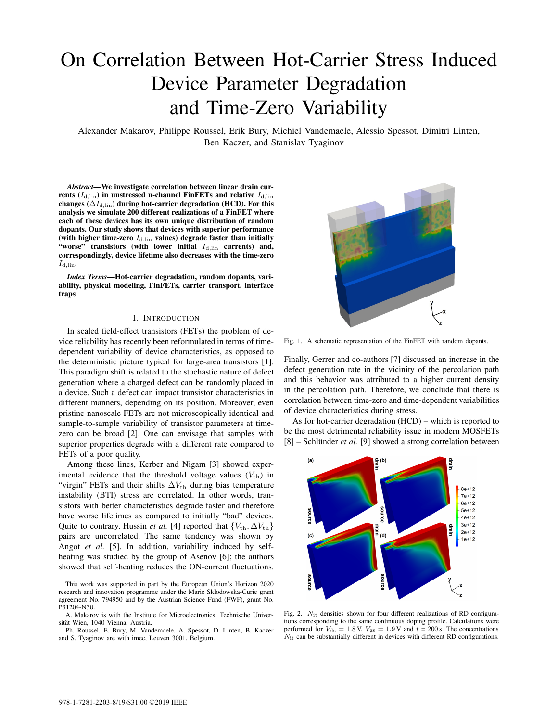# On Correlation Between Hot-Carrier Stress Induced Device Parameter Degradation and Time-Zero Variability

Alexander Makarov, Philippe Roussel, Erik Bury, Michiel Vandemaele, Alessio Spessot, Dimitri Linten, Ben Kaczer, and Stanislav Tyaginov

*Abstract*—We investigate correlation between linear drain currents ( $I_{\text{d,lin}}$ ) in unstressed n-channel FinFETs and relative  $I_{\text{d,lin}}$ changes ( $\Delta I_{\rm d,lin}$ ) during hot-carrier degradation (HCD). For this analysis we simulate 200 different realizations of a FinFET where each of these devices has its own unique distribution of random dopants. Our study shows that devices with superior performance (with higher time-zero  $I_{\rm d,lin}$  values) degrade faster than initially "worse" transistors (with lower initial  $I_{d,lin}$  currents) and, correspondingly, device lifetime also decreases with the time-zero  $I_{\rm d,lin}$ .

*Index Terms*—Hot-carrier degradation, random dopants, variability, physical modeling, FinFETs, carrier transport, interface traps

# I. INTRODUCTION

In scaled field-effect transistors (FETs) the problem of device reliability has recently been reformulated in terms of timedependent variability of device characteristics, as opposed to the deterministic picture typical for large-area transistors [1]. This paradigm shift is related to the stochastic nature of defect generation where a charged defect can be randomly placed in a device. Such a defect can impact transistor characteristics in different manners, depending on its position. Moreover, even pristine nanoscale FETs are not microscopically identical and sample-to-sample variability of transistor parameters at timezero can be broad [2]. One can envisage that samples with superior properties degrade with a different rate compared to FETs of a poor quality.

Among these lines, Kerber and Nigam [3] showed experimental evidence that the threshold voltage values  $(V_{\text{th}})$  in "virgin" FETs and their shifts  $\Delta V_{th}$  during bias temperature instability (BTI) stress are correlated. In other words, transistors with better characteristics degrade faster and therefore have worse lifetimes as compared to initially "bad" devices. Quite to contrary, Hussin *et al.* [4] reported that  ${V_{th}, \Delta V_{th}}$ pairs are uncorrelated. The same tendency was shown by Angot *et al.* [5]. In addition, variability induced by selfheating was studied by the group of Asenov [6]; the authors showed that self-heating reduces the ON-current fluctuations.

This work was supported in part by the European Union's Horizon 2020 research and innovation programme under the Marie Sklodowska-Curie grant agreement No. 794950 and by the Austrian Science Fund (FWF), grant No. P31204-N30.



Fig. 1. A schematic representation of the FinFET with random dopants.

Finally, Gerrer and co-authors [7] discussed an increase in the defect generation rate in the vicinity of the percolation path and this behavior was attributed to a higher current density in the percolation path. Therefore, we conclude that there is correlation between time-zero and time-dependent variabilities of device characteristics during stress.

As for hot-carrier degradation (HCD) – which is reported to be the most detrimental reliability issue in modern MOSFETs [8] – Schlünder *et al.* [9] showed a strong correlation between



Fig. 2.  $N_{it}$  densities shown for four different realizations of RD configurations corresponding to the same continuous doping profile. Calculations were performed for  $V_{ds} = 1.8$  V,  $V_{gs} = 1.9$  V and  $t = 200$  s. The concentrations  $N_{it}$  can be substantially different in devices with different RD configurations.

A. Makarov is with the Institute for Microelectronics, Technische Universität Wien, 1040 Vienna, Austria.

Ph. Roussel, E. Bury, M. Vandemaele, A. Spessot, D. Linten, B. Kaczer and S. Tyaginov are with imec, Leuven 3001, Belgium.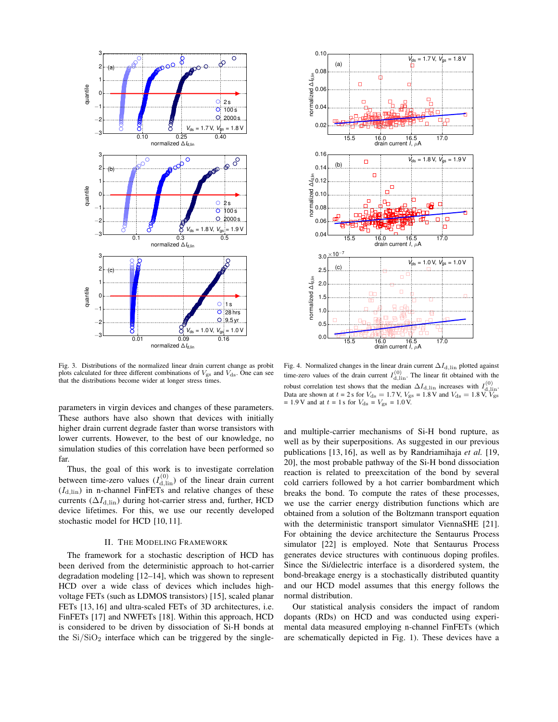



Fig. 3. Distributions of the normalized linear drain current change as probit plots calculated for three different combinations of  $V_{gs}$  and  $V_{ds}$ . One can see that the distributions become wider at longer stress times.

parameters in virgin devices and changes of these parameters. These authors have also shown that devices with initially higher drain current degrade faster than worse transistors with lower currents. However, to the best of our knowledge, no simulation studies of this correlation have been performed so far.

Thus, the goal of this work is to investigate correlation between time-zero values  $(I_{d,lin}^{(0)})$  of the linear drain current  $(I<sub>d,lin</sub>)$  in n-channel FinFETs and relative changes of these currents ( $\Delta I_{\text{d,lin}}$ ) during hot-carrier stress and, further, HCD device lifetimes. For this, we use our recently developed stochastic model for HCD [10, 11].

## II. THE MODELING FRAMEWORK

The framework for a stochastic description of HCD has been derived from the deterministic approach to hot-carrier degradation modeling [12–14], which was shown to represent HCD over a wide class of devices which includes highvoltage FETs (such as LDMOS transistors) [15], scaled planar FETs [13, 16] and ultra-scaled FETs of 3D architectures, i.e. FinFETs [17] and NWFETs [18]. Within this approach, HCD is considered to be driven by dissociation of Si-H bonds at the  $Si/SiO<sub>2</sub>$  interface which can be triggered by the single-

Fig. 4. Normalized changes in the linear drain current  $\Delta I_{\rm d,lin}$  plotted against time-zero values of the drain current  $I_{\text{d,lin}}^{(0)}$ . The linear fit obtained with the robust correlation test shows that the median  $\Delta I_{\text{d,lin}}$  increases with  $I_{\text{d,lin}}^{\text{(0)}}$ .<br>Data are shown at  $t = 2$  s for  $V_{\text{ds}} = 1.7$  V,  $V_{\text{gs}} = 1.8$  V and  $V_{\text{ds}} = 1.8$  V,  $V_{\text{gs}}$  $= 1.9 \text{V}$  and at  $t = 1 \text{ s}$  for  $V_{\text{ds}} = V_{\text{gs}} = 1.0 \text{V}$ .

and multiple-carrier mechanisms of Si-H bond rupture, as well as by their superpositions. As suggested in our previous publications [13, 16], as well as by Randriamihaja *et al.* [19, 20], the most probable pathway of the Si-H bond dissociation reaction is related to preexcitation of the bond by several cold carriers followed by a hot carrier bombardment which breaks the bond. To compute the rates of these processes, we use the carrier energy distribution functions which are obtained from a solution of the Boltzmann transport equation with the deterministic transport simulator ViennaSHE [21]. For obtaining the device architecture the Sentaurus Process simulator [22] is employed. Note that Sentaurus Process generates device structures with continuous doping profiles. Since the Si/dielectric interface is a disordered system, the bond-breakage energy is a stochastically distributed quantity and our HCD model assumes that this energy follows the normal distribution.

Our statistical analysis considers the impact of random dopants (RDs) on HCD and was conducted using experimental data measured employing n-channel FinFETs (which are schematically depicted in Fig. 1). These devices have a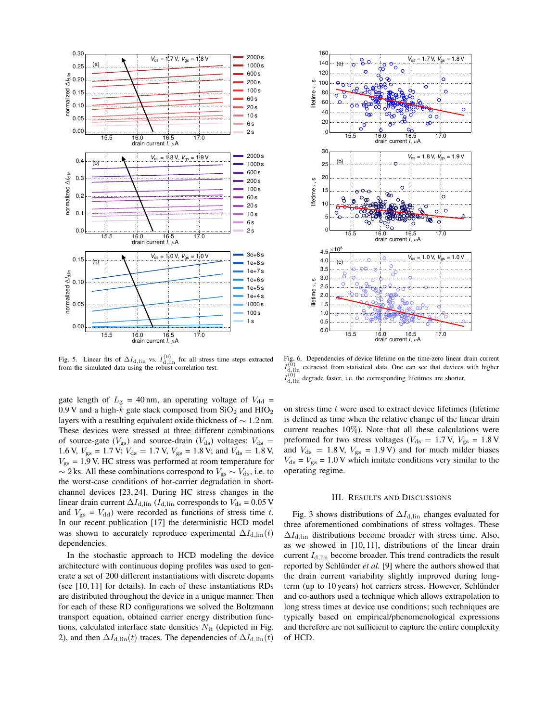



Fig. 5. Linear fits of  $\Delta I_{\rm d,lin}$  vs.  $I_{\rm d,lin}^{(0)}$  for all stress time steps extracted from the simulated data using the robust correlation test.

gate length of  $L_{\rm g}$  = 40 nm, an operating voltage of  $V_{\rm dd}$  = 0.9 V and a high- $k$  gate stack composed from  $SiO<sub>2</sub>$  and  $HfO<sub>2</sub>$ layers with a resulting equivalent oxide thickness of ∼ 1.2 nm. These devices were stressed at three different combinations of source-gate ( $V_{\rm gs}$ ) and source-drain ( $V_{\rm ds}$ ) voltages:  $V_{\rm ds}$  = 1.6 V,  $V_{\rm gs} = 1.7$  V;  $V_{\rm ds} = 1.7$  V,  $V_{\rm gs} = 1.8$  V; and  $V_{\rm ds} = 1.8$  V,  $V_{\rm gs}$  = 1.9 V. HC stress was performed at room temperature for  $\sim$  2 ks. All these combinations correspond to  $V_{\rm gs} \sim V_{\rm ds}$ , i.e. to the worst-case conditions of hot-carrier degradation in shortchannel devices [23, 24]. During HC stress changes in the linear drain current  $\Delta I_{\rm d,lin}$  ( $I_{\rm d,lin}$  corresponds to  $V_{\rm ds} = 0.05$  V and  $V_{\rm gs} = V_{\rm dd}$ ) were recorded as functions of stress time t. In our recent publication [17] the deterministic HCD model was shown to accurately reproduce experimental  $\Delta I_{\rm d,lin}(t)$ dependencies.

In the stochastic approach to HCD modeling the device architecture with continuous doping profiles was used to generate a set of 200 different instantiations with discrete dopants (see [10, 11] for details). In each of these instantiations RDs are distributed throughout the device in a unique manner. Then for each of these RD configurations we solved the Boltzmann transport equation, obtained carrier energy distribution functions, calculated interface state densities  $N_{\text{it}}$  (depicted in Fig. 2), and then  $\Delta I_{\text{d,lin}}(t)$  traces. The dependencies of  $\Delta I_{\text{d,lin}}(t)$ 

Fig. 6. Dependencies of device lifetime on the time-zero linear drain current  $I_{\text{d,lin}}^{(0)}$  extracted from statistical data. One can see that devices with higher  $I_{\text{d,lin}}^{(0)}$  degrade faster, i.e. the corresponding lifetimes are shorter.

on stress time  $t$  were used to extract device lifetimes (lifetime is defined as time when the relative change of the linear drain current reaches 10%). Note that all these calculations were preformed for two stress voltages ( $V_{ds} = 1.7$  V,  $V_{gs} = 1.8$  V and  $V_{\text{ds}} = 1.8 \text{ V}$ ,  $V_{\text{gs}} = 1.9 \text{ V}$  and for much milder biases  $V_{ds} = V_{gs} = 1.0 \text{ V}$  which imitate conditions very similar to the operating regime.

#### III. RESULTS AND DISCUSSIONS

Fig. 3 shows distributions of  $\Delta I_{\rm d,lin}$  changes evaluated for three aforementioned combinations of stress voltages. These  $\Delta I_{\text{d,lin}}$  distributions become broader with stress time. Also, as we showed in [10, 11], distributions of the linear drain current  $I_{\text{d,lin}}$  become broader. This trend contradicts the result reported by Schlünder *et al.* [9] where the authors showed that the drain current variability slightly improved during longterm (up to 10 years) hot carriers stress. However, Schlünder and co-authors used a technique which allows extrapolation to long stress times at device use conditions; such techniques are typically based on empirical/phenomenological expressions and therefore are not sufficient to capture the entire complexity of HCD.